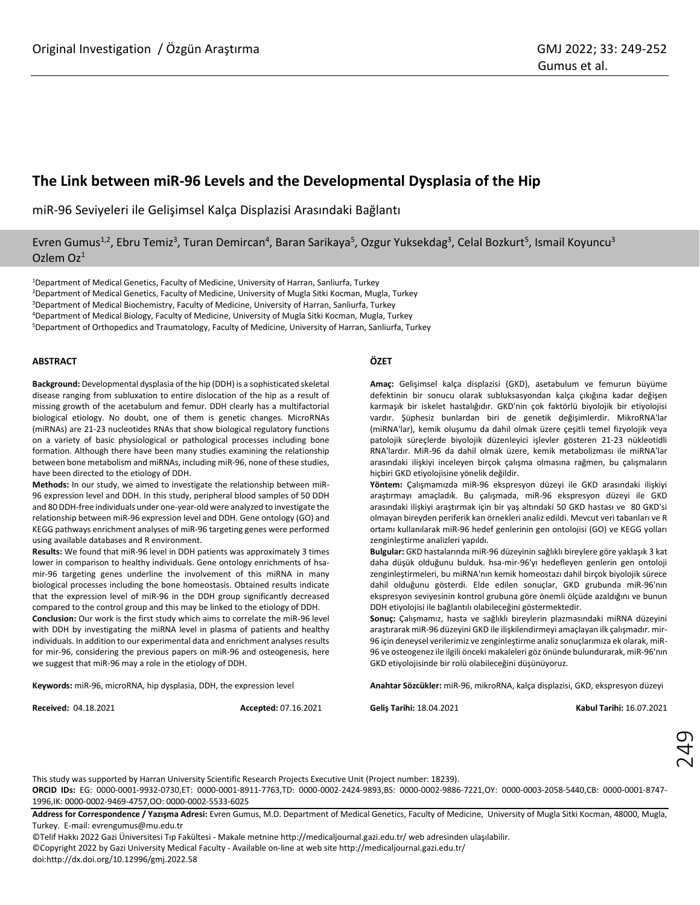# **The Link between miR-96 Levels and the Developmental Dysplasia of the Hip**

miR-96 Seviyeleri ile Gelişimsel Kalça Displazisi Arasındaki Bağlantı

Evren Gumus<sup>1,2</sup>, Ebru Temiz<sup>3</sup>, Turan Demircan<sup>4</sup>, Baran Sarikaya<sup>5</sup>, Ozgur Yuksekdag<sup>3</sup>, Celal Bozkurt<sup>5</sup>, Ismail Koyuncu<sup>3</sup> Ozlem Oz<sup>1</sup>

<sup>1</sup>Department of Medical Genetics, Faculty of Medicine, University of Harran, Sanliurfa, Turkey <sup>2</sup>Department of Medical Genetics, Faculty of Medicine, University of Mugla Sitki Kocman, Mugla, Turkey <sup>3</sup>Department of Medical Biochemistry, Faculty of Medicine, University of Harran, Sanliurfa, Turkey

<sup>4</sup>Department of Medical Biology, Faculty of Medicine, University of Mugla Sitki Kocman, Mugla, Turkey

<sup>5</sup>Department of Orthopedics and Traumatology, Faculty of Medicine, University of Harran, Sanliurfa, Turkey

## **ABSTRACT**

**Background:** Developmental dysplasia of the hip (DDH) is a sophisticated skeletal disease ranging from subluxation to entire dislocation of the hip as a result of missing growth of the acetabulum and femur. DDH clearly has a multifactorial biological etiology. No doubt, one of them is genetic changes. MicroRNAs (miRNAs) are 21-23 nucleotides RNAs that show biological regulatory functions on a variety of basic physiological or pathological processes including bone formation. Although there have been many studies examining the relationship between bone metabolism and miRNAs, including miR-96, none of these studies, have been directed to the etiology of DDH.

**Methods:** In our study, we aimed to investigate the relationship between miR-96 expression level and DDH. In this study, peripheral blood samples of 50 DDH and 80 DDH-free individuals under one-year-old were analyzed to investigate the relationship between miR-96 expression level and DDH. Gene ontology (GO) and KEGG pathways enrichment analyses of miR-96 targeting genes were performed using available databases and R environment.

**Results:** We found that miR-96 level in DDH patients was approximately 3 times lower in comparison to healthy individuals. Gene ontology enrichments of hsamir-96 targeting genes underline the involvement of this miRNA in many biological processes including the bone homeostasis. Obtained results indicate that the expression level of miR-96 in the DDH group significantly decreased compared to the control group and this may be linked to the etiology of DDH.

**Conclusion:** Our work is the first study which aims to correlate the miR-96 level with DDH by investigating the miRNA level in plasma of patients and healthy individuals. In addition to our experimental data and enrichment analyses results for mir-96, considering the previous papers on miR-96 and osteogenesis, here we suggest that miR-96 may a role in the etiology of DDH.

**Keywords:** miR-96, microRNA, hip dysplasia, DDH, the expression level

**Received:** 04.18.2021 **Accepted:** 07.16.2021

**ÖZET**

**Amaç:** Gelişimsel kalça displazisi (GKD), asetabulum ve femurun büyüme defektinin bir sonucu olarak subluksasyondan kalça çıkığına kadar değişen karmaşık bir iskelet hastalığıdır. GKD'nin çok faktörlü biyolojik bir etiyolojisi vardır. Şüphesiz bunlardan biri de genetik değişimlerdir. MikroRNA'lar (miRNA'lar), kemik oluşumu da dahil olmak üzere çeşitli temel fizyolojik veya patolojik süreçlerde biyolojik düzenleyici işlevler gösteren 21-23 nükleotidli RNA'lardır. MiR-96 da dahil olmak üzere, kemik metabolizması ile miRNA'lar arasındaki ilişkiyi inceleyen birçok çalışma olmasına rağmen, bu çalışmaların hiçbiri GKD etiyolojisine yönelik değildir.

**Yöntem:** Çalışmamızda miR-96 ekspresyon düzeyi ile GKD arasındaki ilişkiyi araştırmayı amaçladık. Bu çalışmada, miR-96 ekspresyon düzeyi ile GKD arasındaki ilişkiyi araştırmak için bir yaş altındaki 50 GKD hastası ve 80 GKD'si olmayan bireyden periferik kan örnekleri analiz edildi. Mevcut veri tabanları ve R ortamı kullanılarak miR-96 hedef genlerinin gen ontolojisi (GO) ve KEGG yolları zenginleştirme analizleri yapıldı.

**Bulgular:** GKD hastalarında miR-96 düzeyinin sağlıklı bireylere göre yaklaşık 3 kat daha düşük olduğunu bulduk. hsa-mir-96'yı hedefleyen genlerin gen ontoloji zenginleştirmeleri, bu miRNA'nın kemik homeostazı dahil birçok biyolojik sürece dahil olduğunu gösterdi. Elde edilen sonuçlar, GKD grubunda miR-96'nın ekspresyon seviyesinin kontrol grubuna göre önemli ölçüde azaldığını ve bunun DDH etiyolojisi ile bağlantılı olabileceğini göstermektedir.

**Sonuç:** Çalışmamız, hasta ve sağlıklı bireylerin plazmasındaki miRNA düzeyini araştırarak miR-96 düzeyini GKD ile ilişkilendirmeyi amaçlayan ilk çalışmadır. mir-96 için deneysel verilerimiz ve zenginleştirme analiz sonuçlarımıza ek olarak, miR-96 ve osteogenez ile ilgili önceki makaleleri göz önünde bulundurarak, miR-96'nın GKD etiyolojisinde bir rolü olabileceğini düşünüyoruz.

**Anahtar Sözcükler:** miR-96, mikroRNA, kalça displazisi, GKD, ekspresyon düzeyi

**Geliş Tarihi:** 18.04.2021 **Kabul Tarihi:** 16.07.2021

This study was supported by Harran University Scientific Research Projects Executive Unit (Project number: 18239). **ORCID IDs:** EG: 0000-0001-9932-0730,ET: 0000-0001-8911-7763,TD: 0000-0002-2424-9893,BS: 0000-0002-9886-7221,OY: 0000-0003-2058-5440,CB: 0000-0001-8747-

1996,IK: 0000-0002-9469-4757,OO: 0000-0002-5533-6025

**Address for Correspondence / Yazışma Adresi:** Evren Gumus, M.D. Department of Medical Genetics, Faculty of Medicine, University of Mugla Sitki Kocman, 48000, Mugla, Turkey. E-mail[: evrengumus@mu.edu.tr](mailto:evrengumus@mu.edu.tr)

©Telif Hakkı 2022 Gazi Üniversitesi Tıp Fakültesi - Makale metnine http://medicaljournal.gazi.edu.tr/ web adresinden ulaşılabilir.

©Copyright 2022 by Gazi University Medical Faculty - Available on-line at web sit[e http://medicaljournal.gazi.edu.tr/](http://medicaljournal.gazi.edu.tr/)

doi:http://dx.doi.org/10.12996/gmj.2022.58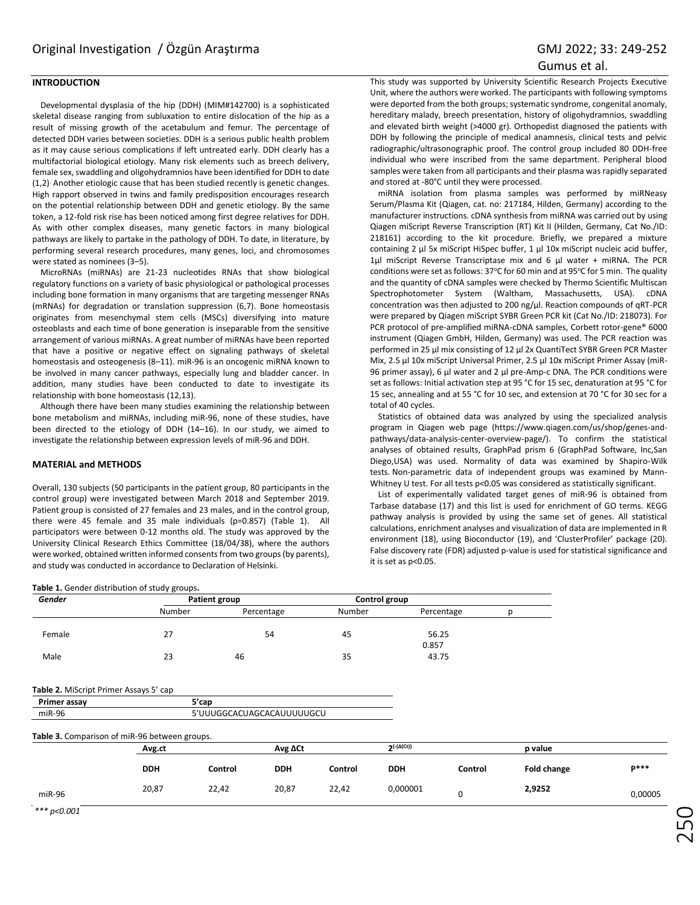# Gumus et al.

# **INTRODUCTION**

Developmental dysplasia of the hip (DDH) (MIM#142700) is a sophisticated skeletal disease ranging from subluxation to entire dislocation of the hip as a result of missing growth of the acetabulum and femur. The percentage of detected DDH varies between societies. DDH is a serious public health problem as it may cause serious complications if left untreated early. DDH clearly has a multifactorial biological etiology. Many risk elements such as breech delivery, female sex, swaddling and oligohydramnios have been identified for DDH to date (1,2). Another etiologic cause that has been studied recently is genetic changes. High rapport observed in twins and family predisposition encourages research on the potential relationship between DDH and genetic etiology. By the same token, a 12-fold risk rise has been noticed among first degree relatives for DDH. As with other complex diseases, many genetic factors in many biological pathways are likely to partake in the pathology of DDH. To date, in literature, by performing several research procedures, many genes, loci, and chromosomes were stated as nominees (3–5).

MicroRNAs (miRNAs) are 21-23 nucleotides RNAs that show biological regulatory functions on a variety of basic physiological or pathological processes including bone formation in many organisms that are targeting messenger RNAs (mRNAs) for degradation or translation suppression (6,7). Bone homeostasis originates from mesenchymal stem cells (MSCs) diversifying into mature osteoblasts and each time of bone generation is inseparable from the sensitive arrangement of various miRNAs. A great number of miRNAs have been reported that have a positive or negative effect on signaling pathways of skeletal homeostasis and osteogenesis (8–11). miR-96 is an oncogenic miRNA known to be involved in many cancer pathways, especially lung and bladder cancer. In addition, many studies have been conducted to date to investigate its relationship with bone homeostasis (12,13).

Although there have been many studies examining the relationship between bone metabolism and miRNAs, including miR-96, none of these studies, have been directed to the etiology of DDH (14–16). In our study, we aimed to investigate the relationship between expression levels of miR-96 and DDH.

## **MATERIAL and METHODS**

Overall, 130 subjects (50 participants in the patient group, 80 participants in the control group) were investigated between March 2018 and September 2019. Patient group is consisted of 27 females and 23 males, and in the control group, there were 45 female and 35 male individuals (p=0.857) (Table 1). All participators were between 0-12 months old. The study was approved by the University Clinical Research Ethics Committee (18/04/38), where the authors were worked, obtained written informed consents from two groups (by parents), and study was conducted in accordance to Declaration of Helsinki.

## **Table 1.** Gender distribution of study groups**.**

This study was supported by University Scientific Research Projects Executive Unit, where the authors were worked. The participants with following symptoms were deported from the both groups; systematic syndrome, congenital anomaly, hereditary malady, breech presentation, history of oligohydramnios, swaddling and elevated birth weight (>4000 gr). Orthopedist diagnosed the patients with DDH by following the principle of medical anamnesis, clinical tests and pelvic radiographic/ultrasonographic proof. The control group included 80 DDH-free individual who were inscribed from the same department. Peripheral blood samples were taken from all participants and their plasma was rapidly separated and stored at -80°C until they were processed.

miRNA isolation from plasma samples was performed by miRNeasy Serum/Plasma Kit (Qiagen, cat. no: 217184, Hilden, Germany) according to the manufacturer instructions. cDNA synthesis from miRNA was carried out by using Qiagen miScript Reverse Transcription (RT) Kit II (Hilden, Germany, Cat No./ID: 218161) according to the kit procedure. Briefly, we prepared a mixture containing 2 µl 5x miScript HiSpec buffer, 1 µl 10x miScript nucleic acid buffer, 1µl miScript Reverse Transcriptase mix and 6 µl water + miRNA. The PCR conditions were set as follows: 37°C for 60 min and at 95°C for 5 min. The quality and the quantity of cDNA samples were checked by Thermo Scientific Multiscan Spectrophotometer System (Waltham, Massachusetts, USA). cDNA concentration was then adjusted to 200 ng/μl. Reaction compounds of qRT-PCR were prepared by Qiagen miScript SYBR Green PCR kit (Cat No./ID: 218073). For PCR protocol of pre-amplified miRNA-cDNA samples, Corbett rotor-gene® 6000 instrument (Qiagen GmbH, Hilden, Germany) was used. The PCR reaction was performed in 25 µl mix consisting of 12 µl 2x QuantiTect SYBR Green PCR Master Mix, 2.5 µl 10x miScript Universal Primer, 2.5 µl 10x miScript Primer Assay (miR-96 primer assay), 6 µl water and 2 µl pre-Amp-c DNA. The PCR conditions were set as follows: Initial activation step at 95 °C for 15 sec, denaturation at 95 °C for 15 sec, annealing and at 55 °C for 10 sec, and extension at 70 °C for 30 sec for a total of 40 cycles.

Statistics of obtained data was analyzed by using the specialized analysis program in Qiagen web page [\(https://www.qiagen.com/us/shop/genes-and](https://www.qiagen.com/us/shop/genes-and-pathways/data-analysis-center-overview-page/)[pathways/data-analysis-center-overview-page/\)](https://www.qiagen.com/us/shop/genes-and-pathways/data-analysis-center-overview-page/). To confirm the statistical analyses of obtained results, GraphPad prism 6 (GraphPad Software, Inc,San Diego,USA) was used. Normality of data was examined by Shapiro-Wilk tests. Non-parametric data of independent groups was examined by Mann-Whitney U test. For all tests p<0.05 was considered as statistically significant.

List of experimentally validated target genes of miR-96 is obtained from Tarbase database (17) and this list is used for enrichment of GO terms. KEGG pathway analysis is provided by using the same set of genes. All statistical calculations, enrichment analyses and visualization of data are implemented in R environment (18), using Bioconductor (19), and 'ClusterProfiler' package (20). False discovery rate (FDR) adjusted p-value is used for statistical significance and it is set as p<0.05.

| Gender                                        | Patient group             |         |                 | Control group |                    |            |                    |       |
|-----------------------------------------------|---------------------------|---------|-----------------|---------------|--------------------|------------|--------------------|-------|
|                                               | Number                    |         | Percentage      | Number        |                    | Percentage | p                  |       |
| Female                                        | 27                        |         | 54              | 45            | 0.857              | 56.25      |                    |       |
| Male                                          | 23                        | 46      |                 | 35            |                    | 43.75      |                    |       |
| Table 2. MiScript Primer Assays 5' cap        |                           |         |                 |               |                    |            |                    |       |
| Primer assay                                  | 5'cap                     |         |                 |               |                    |            |                    |       |
| $miR-96$                                      | 5'UUUGGCACUAGCACAUUUUUGCU |         |                 |               |                    |            |                    |       |
| Table 3. Comparison of miR-96 between groups. |                           |         |                 |               |                    |            |                    |       |
|                                               | Avg.ct                    |         | Avg $\Delta$ Ct |               | $2(-(\Delta(Ct)))$ |            | p value            |       |
|                                               | <b>DDH</b>                | Control | <b>DDH</b>      | Control       | <b>DDH</b>         | Control    | <b>Fold change</b> | p***  |
| $miR-96$                                      | 20,87                     | 22,42   | 20,87           | 22,42         | 0,000001           | 0          | 2,9252             | 0,000 |

*\*\*\* p<0.001*

**2,9252** 0,00005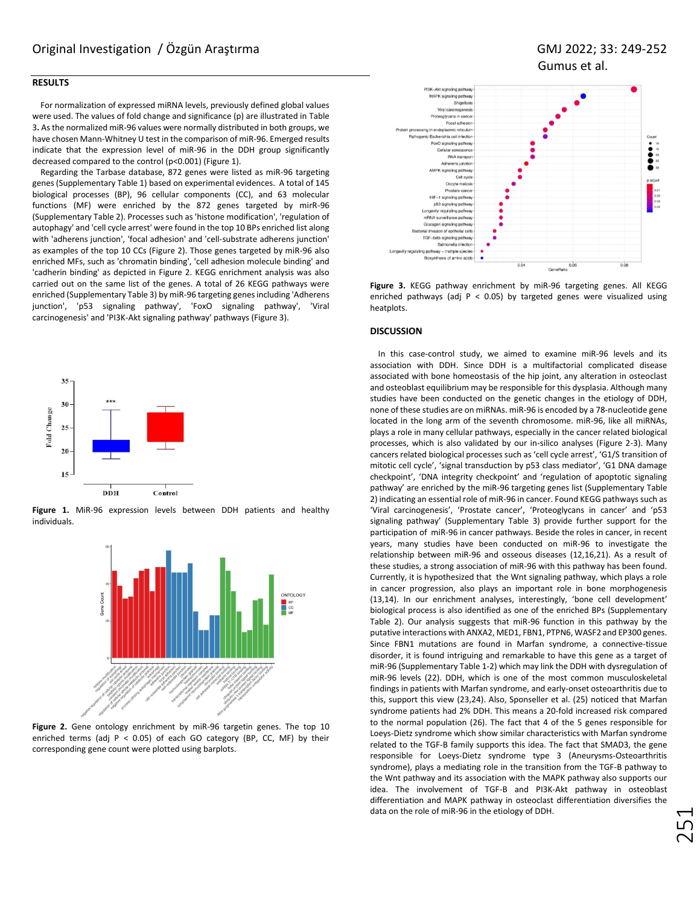## **RESULTS**

For normalization of expressed miRNA levels, previously defined global values were used. The values of fold change and significance (p) are illustrated in Table 3**.** As the normalized miR-96 values were normally distributed in both groups, we have chosen Mann-Whitney U test in the comparison of miR-96. Emerged results indicate that the expression level of miR-96 in the DDH group significantly decreased compared to the control (p<0.001) (Figure 1).

Regarding the Tarbase database, 872 genes were listed as miR-96 targeting genes (Supplementary Table 1) based on experimental evidences. A total of 145 biological processes (BP), 96 cellular components (CC), and 63 molecular functions (MF) were enriched by the 872 genes targeted by mirR-96 (Supplementary Table 2). Processes such as 'histone modification', 'regulation of autophagy' and 'cell cycle arrest' were found in the top 10 BPs enriched list along with 'adherens junction', 'focal adhesion' and 'cell-substrate adherens junction' as examples of the top 10 CCs (Figure 2). Those genes targeted by miR-96 also enriched MFs, such as 'chromatin binding', 'cell adhesion molecule binding' and 'cadherin binding' as depicted in Figure 2. KEGG enrichment analysis was also carried out on the same list of the genes. A total of 26 KEGG pathways were enriched (Supplementary Table 3) by miR-96 targeting genes including 'Adherens junction', 'p53 signaling pathway', 'FoxO signaling pathway', 'Viral carcinogenesis' and 'PI3K-Akt signaling pathway' pathways (Figure 3).



**Figure 1.** MiR-96 expression levels between DDH patients and healthy individuals.



**Figure 2.** Gene ontology enrichment by miR-96 targetin genes. The top 10 enriched terms (adj  $P < 0.05$ ) of each GO category (BP, CC, MF) by their corresponding gene count were plotted using barplots.



**Figure 3.** KEGG pathway enrichment by miR-96 targeting genes. All KEGG enriched pathways (adj P < 0.05) by targeted genes were visualized using heatplots.

#### **DISCUSSION**

In this case-control study, we aimed to examine miR-96 levels and its association with DDH. Since DDH is a multifactorial complicated disease associated with bone homeostasis of the hip joint, any alteration in osteoclast and osteoblast equilibrium may be responsible for this dysplasia. Although many studies have been conducted on the genetic changes in the etiology of DDH, none of these studies are on miRNAs. miR-96 is encoded by a 78-nucleotide gene located in the long arm of the seventh chromosome. miR-96, like all miRNAs, plays a role in many cellular pathways, especially in the cancer related biological processes, which is also validated by our in-silico analyses (Figure 2-3). Many cancers related biological processes such as 'cell cycle arrest', 'G1/S transition of mitotic cell cycle', 'signal transduction by p53 class mediator', 'G1 DNA damage checkpoint', 'DNA integrity checkpoint' and 'regulation of apoptotic signaling pathway' are enriched by the miR-96 targeting genes list (Supplementary Table 2) indicating an essential role of miR-96 in cancer. Found KEGG pathways such as 'Viral carcinogenesis', 'Prostate cancer', 'Proteoglycans in cancer' and 'p53 signaling pathway' (Supplementary Table 3) provide further support for the participation of miR-96 in cancer pathways. Beside the roles in cancer, in recent years, many studies have been conducted on miR-96 to investigate the relationship between miR-96 and osseous diseases (12,16,21). As a result of these studies, a strong association of miR-96 with this pathway has been found. Currently, it is hypothesized that the Wnt signaling pathway, which plays a role in cancer progression, also plays an important role in bone morphogenesis (13,14). In our enrichment analyses, interestingly, 'bone cell development' biological process is also identified as one of the enriched BPs (Supplementary Table 2). Our analysis suggests that miR-96 function in this pathway by the putative interactions with ANXA2, MED1, FBN1, PTPN6, WASF2 and EP300 genes. Since FBN1 mutations are found in Marfan syndrome, a connective-tissue disorder, it is found intriguing and remarkable to have this gene as a target of miR-96 (Supplementary Table 1-2) which may link the DDH with dysregulation of miR-96 levels (22). DDH, which is one of the most common musculoskeletal findings in patients with Marfan syndrome, and early-onset osteoarthritis due to this, support this view (23,24). Also, Sponseller et al. (25) noticed that Marfan syndrome patients had 2% DDH. This means a 20-fold increased risk compared to the normal population (26). The fact that 4 of the 5 genes responsible for Loeys-Dietz syndrome which show similar characteristics with Marfan syndrome related to the TGF-B family supports this idea. The fact that SMAD3, the gene responsible for Loeys-Dietz syndrome type 3 (Aneurysms-Osteoarthritis syndrome), plays a mediating role in the transition from the TGF-B pathway to the Wnt pathway and its association with the MAPK pathway also supports our idea. The involvement of TGF-B and PI3K-Akt pathway in osteoblast differentiation and MAPK pathway in osteoclast differentiation diversifies the data on the role of miR-96 in the etiology of DDH.

251